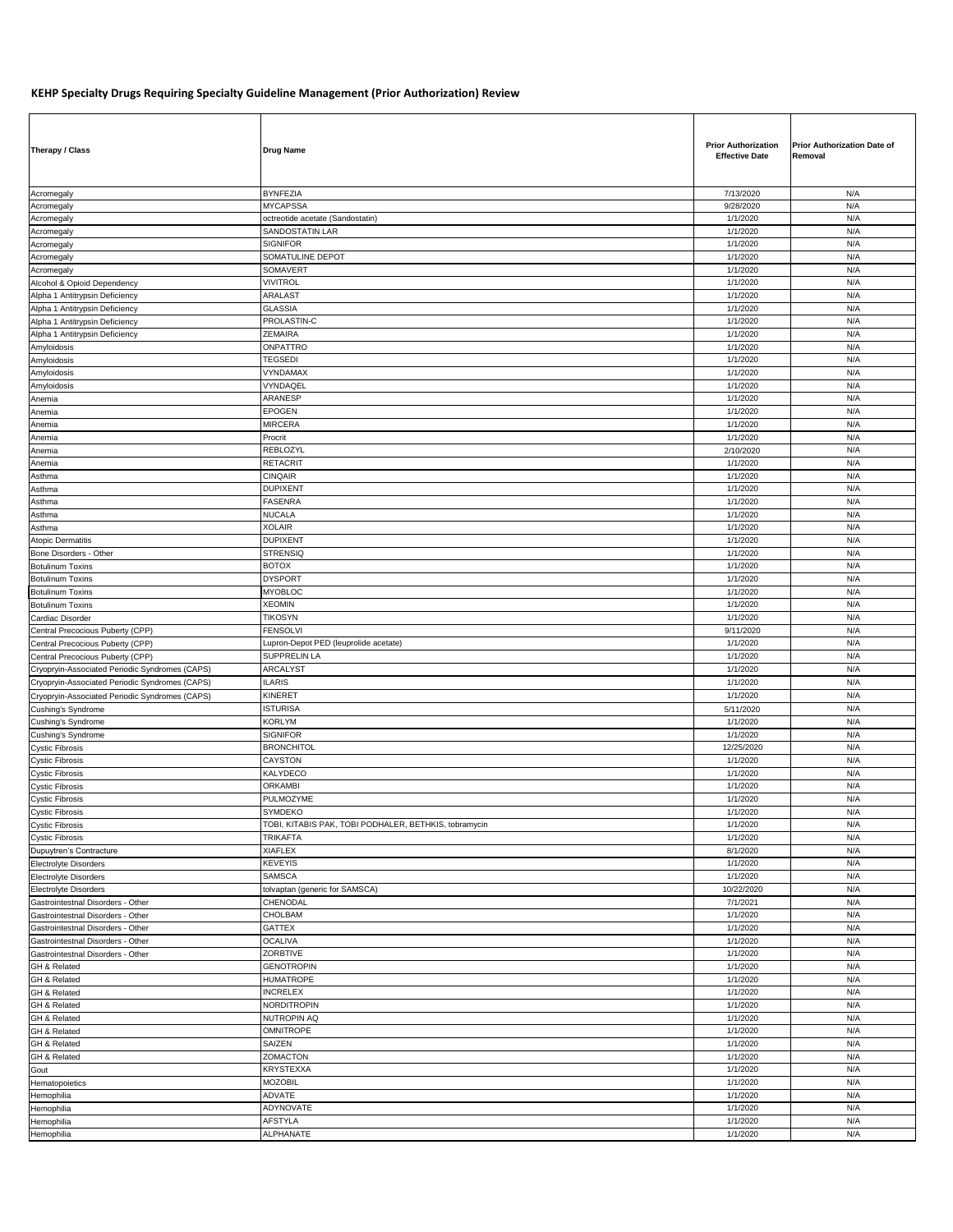## **KEHP Specialty Drugs Requiring Specialty Guideline Management (Prior Authorization) Review**

| Therapy / Class                                                        | <b>Drug Name</b>                                                 | <b>Prior Authorization</b><br><b>Effective Date</b> | <b>Prior Authorization Date of</b><br>Removal |
|------------------------------------------------------------------------|------------------------------------------------------------------|-----------------------------------------------------|-----------------------------------------------|
| Acromegaly                                                             | <b>BYNFEZIA</b>                                                  | 7/13/2020                                           | N/A                                           |
| Acromegaly                                                             | <b>MYCAPSSA</b>                                                  | 9/28/2020                                           | N/A                                           |
| Acromegaly                                                             | octreotide acetate (Sandostatin)                                 | 1/1/2020                                            | N/A                                           |
| Acromegaly                                                             | SANDOSTATIN LAR                                                  | 1/1/2020                                            | N/A                                           |
| Acromegaly                                                             | <b>SIGNIFOR</b>                                                  | 1/1/2020                                            | N/A                                           |
| Acromegaly                                                             | SOMATULINE DEPOT                                                 | 1/1/2020                                            | N/A                                           |
| Acromegaly                                                             | SOMAVERT                                                         | 1/1/2020                                            | N/A                                           |
| Alcohol & Opioid Dependency                                            | <b>VIVITROL</b>                                                  | 1/1/2020                                            | N/A                                           |
| Alpha 1 Antitrypsin Deficiency                                         | <b>ARALAST</b>                                                   | 1/1/2020                                            | N/A                                           |
| Alpha 1 Antitrypsin Deficiency                                         | <b>GLASSIA</b>                                                   | 1/1/2020                                            | N/A                                           |
| Alpha 1 Antitrypsin Deficiency                                         | PROLASTIN-C                                                      | 1/1/2020                                            | N/A                                           |
| Alpha 1 Antitrypsin Deficiency                                         | ZEMAIRA                                                          | 1/1/2020                                            | N/A                                           |
| Amyloidosis                                                            | ONPATTRO                                                         | 1/1/2020                                            | N/A                                           |
| Amyloidosis                                                            | <b>TEGSEDI</b>                                                   | 1/1/2020                                            | N/A                                           |
| Amyloidosis                                                            | VYNDAMAX                                                         | 1/1/2020                                            | N/A                                           |
| Amyloidosis                                                            | VYNDAQEL                                                         | 1/1/2020                                            | N/A                                           |
| Anemia                                                                 | ARANESP                                                          | 1/1/2020                                            | N/A                                           |
| Anemia                                                                 | <b>EPOGEN</b>                                                    | 1/1/2020                                            | N/A                                           |
| Anemia                                                                 | <b>MIRCERA</b>                                                   | 1/1/2020                                            | N/A                                           |
| Anemia                                                                 | Procrit                                                          | 1/1/2020                                            | N/A                                           |
| Anemia                                                                 | REBLOZYL                                                         | 2/10/2020                                           | N/A                                           |
| Anemia                                                                 | <b>RETACRIT</b>                                                  | 1/1/2020                                            | N/A                                           |
| Asthma                                                                 | <b>CINQAIR</b>                                                   | 1/1/2020                                            | N/A                                           |
| Asthma                                                                 | <b>DUPIXENT</b>                                                  | 1/1/2020                                            | N/A                                           |
| Asthma                                                                 | FASENRA                                                          | 1/1/2020                                            | N/A                                           |
| Asthma                                                                 | <b>NUCALA</b>                                                    | 1/1/2020                                            | N/A                                           |
| Asthma                                                                 | <b>XOLAIR</b>                                                    | 1/1/2020                                            | N/A                                           |
| Atopic Dermatitis                                                      | <b>DUPIXENT</b>                                                  | 1/1/2020                                            | N/A                                           |
| Bone Disorders - Other                                                 | <b>STRENSIQ</b>                                                  | 1/1/2020                                            | N/A                                           |
| <b>Botulinum Toxins</b>                                                | <b>BOTOX</b>                                                     | 1/1/2020                                            | N/A                                           |
| <b>Botulinum Toxins</b>                                                | <b>DYSPORT</b>                                                   | 1/1/2020                                            | N/A                                           |
| <b>Botulinum Toxins</b>                                                | <b>MYOBLOC</b>                                                   | 1/1/2020                                            | N/A                                           |
| <b>Botulinum Toxins</b>                                                | <b>XEOMIN</b>                                                    | 1/1/2020                                            | N/A                                           |
| Cardiac Disorder                                                       | <b>TIKOSYN</b>                                                   | 1/1/2020                                            | N/A                                           |
| Central Precocious Puberty (CPP)                                       | <b>FENSOLVI</b>                                                  | 9/11/2020                                           | N/A                                           |
| Central Precocious Puberty (CPP)                                       | Lupron-Depot PED (leuprolide acetate)                            | 1/1/2020                                            | N/A                                           |
| Central Precocious Puberty (CPP)                                       | SUPPRELIN LA                                                     | 1/1/2020                                            | N/A                                           |
| Cryopryin-Associated Periodic Syndromes (CAPS)                         | ARCALYST                                                         | 1/1/2020                                            | N/A                                           |
| Cryopryin-Associated Periodic Syndromes (CAPS)                         | <b>ILARIS</b>                                                    | 1/1/2020                                            | N/A                                           |
| Cryopryin-Associated Periodic Syndromes (CAPS)                         | <b>KINERET</b>                                                   | 1/1/2020                                            | N/A                                           |
| Cushing's Syndrome                                                     | <b>ISTURISA</b>                                                  | 5/11/2020                                           | N/A                                           |
| Cushing's Syndrome                                                     | KORLYM                                                           | 1/1/2020                                            | N/A                                           |
| Cushing's Syndrome                                                     | <b>SIGNIFOR</b>                                                  | 1/1/2020                                            | N/A                                           |
| <b>Cystic Fibrosis</b>                                                 | <b>BRONCHITOL</b>                                                | 12/25/2020                                          | N/A                                           |
| <b>Cystic Fibrosis</b>                                                 | CAYSTON                                                          | 1/1/2020                                            | N/A                                           |
| <b>Cystic Fibrosis</b>                                                 | KALYDECO                                                         | 1/1/2020                                            | N/A                                           |
| <b>Cystic Fibrosis</b>                                                 | <b>ORKAMBI</b>                                                   | 1/1/2020                                            | N/A                                           |
|                                                                        | PULMOZYME                                                        | 1/1/2020                                            | N/A                                           |
| <b>Cystic Fibrosis</b>                                                 |                                                                  |                                                     |                                               |
| <b>Cystic Fibrosis</b><br><b>Cystic Fibrosis</b>                       | SYMDEKO<br>TOBI, KITABIS PAK, TOBI PODHALER, BETHKIS, tobramycin | 1/1/2020<br>1/1/2020                                | N/A<br>N/A                                    |
| <b>Cystic Fibrosis</b>                                                 | <b>TRIKAFTA</b>                                                  | 1/1/2020                                            | N/A                                           |
| Dupuytren's Contracture                                                | <b>XIAFLEX</b>                                                   | 8/1/2020                                            | N/A                                           |
| <b>Electrolyte Disorders</b>                                           | <b>KEVEYIS</b>                                                   | 1/1/2020                                            | N/A                                           |
| <b>Electrolyte Disorders</b>                                           | <b>SAMSCA</b>                                                    | 1/1/2020                                            | N/A                                           |
| <b>Electrolyte Disorders</b>                                           | tolvaptan (generic for SAMSCA)                                   | 10/22/2020                                          | N/A                                           |
| Gastrointestnal Disorders - Other                                      | CHENODAL                                                         | 7/1/2021                                            | N/A                                           |
| Gastrointestnal Disorders - Other                                      | CHOLBAM                                                          | 1/1/2020                                            | N/A                                           |
|                                                                        | <b>GATTEX</b>                                                    |                                                     | N/A                                           |
| Gastrointestnal Disorders - Other<br>Gastrointestnal Disorders - Other | <b>OCALIVA</b>                                                   | 1/1/2020<br>1/1/2020                                | N/A                                           |
|                                                                        | ZORBTIVE                                                         | 1/1/2020                                            | N/A                                           |
| Gastrointestnal Disorders - Other                                      |                                                                  |                                                     |                                               |
| GH & Related<br>GH & Related                                           | <b>GENOTROPIN</b><br><b>HUMATROPE</b>                            | 1/1/2020<br>1/1/2020                                | N/A<br>N/A                                    |
|                                                                        | <b>INCRELEX</b>                                                  |                                                     | N/A                                           |
| GH & Related                                                           | <b>NORDITROPIN</b>                                               | 1/1/2020                                            |                                               |
| GH & Related                                                           |                                                                  | 1/1/2020                                            | N/A                                           |
| GH & Related                                                           | <b>NUTROPIN AQ</b>                                               | 1/1/2020                                            | N/A                                           |
| GH & Related                                                           | <b>OMNITROPE</b>                                                 | 1/1/2020                                            | N/A                                           |
| GH & Related                                                           | SAIZEN                                                           | 1/1/2020                                            | N/A                                           |
| GH & Related                                                           | ZOMACTON                                                         | 1/1/2020                                            | N/A                                           |
| Gout                                                                   | <b>KRYSTEXXA</b>                                                 | 1/1/2020                                            | N/A                                           |
| Hematopoietics                                                         | <b>MOZOBIL</b>                                                   | 1/1/2020                                            | N/A                                           |
| Hemophilia                                                             | ADVATE                                                           | 1/1/2020                                            | N/A                                           |
| Hemophilia                                                             | ADYNOVATE                                                        | 1/1/2020                                            | N/A                                           |
| Hemophilia                                                             | AFSTYLA                                                          | 1/1/2020                                            | N/A                                           |
| Hemophilia                                                             | ALPHANATE                                                        | 1/1/2020                                            | N/A                                           |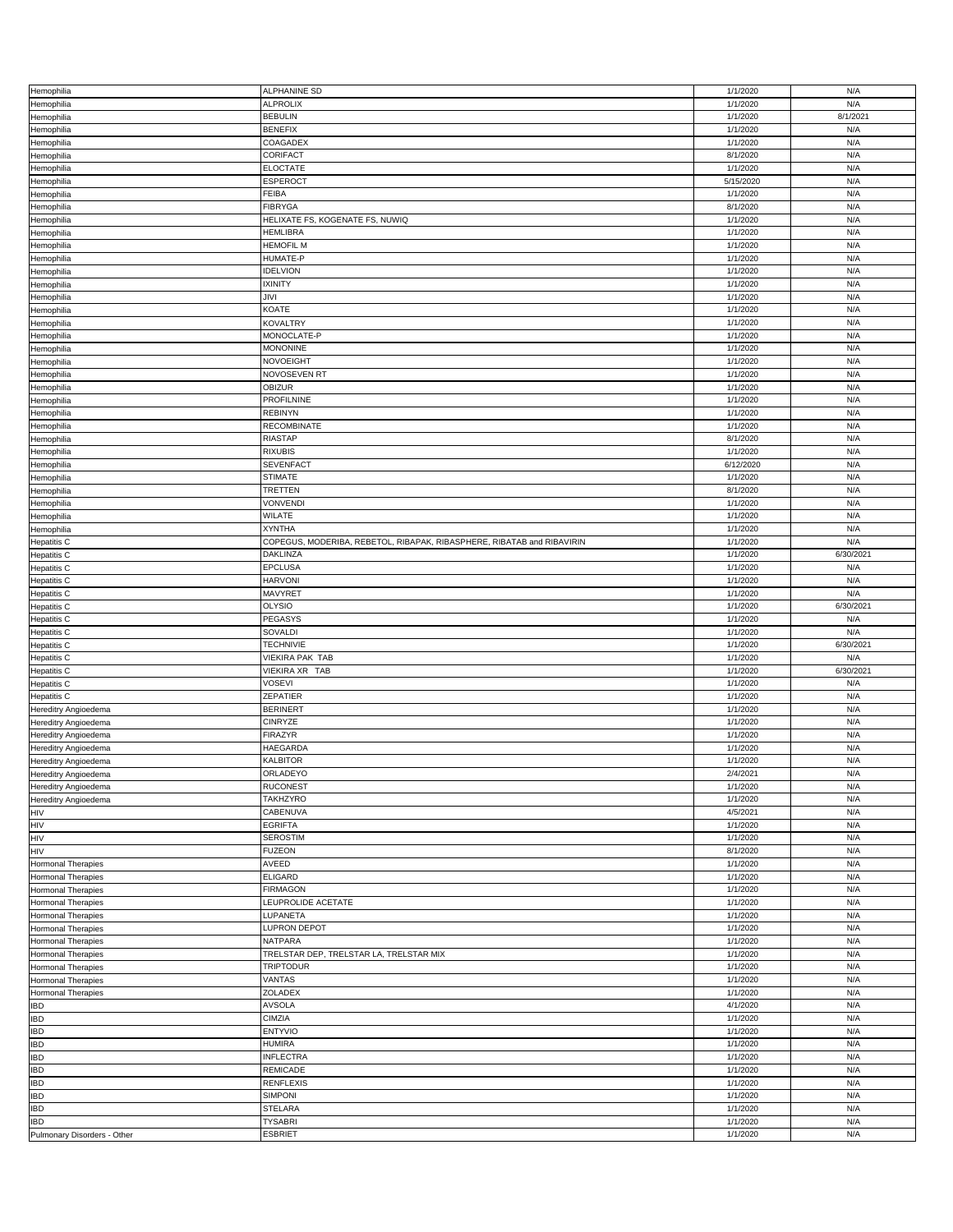| Hemophilia                  | ALPHANINE SD                                                           | 1/1/2020  | N/A       |
|-----------------------------|------------------------------------------------------------------------|-----------|-----------|
| Hemophilia                  | <b>ALPROLIX</b>                                                        | 1/1/2020  | N/A       |
|                             |                                                                        |           |           |
| Hemophilia                  | <b>BEBULIN</b>                                                         | 1/1/2020  | 8/1/2021  |
| Hemophilia                  | <b>BENEFIX</b>                                                         | 1/1/2020  | N/A       |
|                             |                                                                        |           |           |
| Hemophilia                  | COAGADEX                                                               | 1/1/2020  | N/A       |
| Hemophilia                  | CORIFACT                                                               | 8/1/2020  | N/A       |
|                             |                                                                        |           |           |
| Hemophilia                  | <b>ELOCTATE</b>                                                        | 1/1/2020  | N/A       |
| Hemophilia                  | <b>ESPEROCT</b>                                                        | 5/15/2020 | N/A       |
|                             |                                                                        |           |           |
| Hemophilia                  | <b>FEIBA</b>                                                           | 1/1/2020  | N/A       |
| Hemophilia                  | <b>FIBRYGA</b>                                                         | 8/1/2020  | N/A       |
|                             |                                                                        |           |           |
| Hemophilia                  | HELIXATE FS, KOGENATE FS, NUWIQ                                        | 1/1/2020  | N/A       |
| Hemophilia                  | <b>HEMLIBRA</b>                                                        | 1/1/2020  | N/A       |
|                             |                                                                        |           |           |
| Hemophilia                  | <b>HEMOFIL M</b>                                                       | 1/1/2020  | N/A       |
| Hemophilia                  | HUMATE-P                                                               | 1/1/2020  | N/A       |
|                             |                                                                        |           |           |
| Hemophilia                  | <b>IDELVION</b>                                                        | 1/1/2020  | N/A       |
| Hemophilia                  | <b>IXINITY</b>                                                         | 1/1/2020  | N/A       |
|                             |                                                                        |           |           |
| Hemophilia                  | JIVI                                                                   | 1/1/2020  | N/A       |
| Hemophilia                  | KOATE                                                                  | 1/1/2020  | N/A       |
|                             |                                                                        |           |           |
| Hemophilia                  | <b>KOVALTRY</b>                                                        | 1/1/2020  | N/A       |
| Hemophilia                  | MONOCLATE-P                                                            | 1/1/2020  | N/A       |
|                             |                                                                        |           |           |
| Hemophilia                  | <b>MONONINE</b>                                                        | 1/1/2020  | N/A       |
| Hemophilia                  | NOVOEIGHT                                                              | 1/1/2020  | N/A       |
|                             |                                                                        |           |           |
| Hemophilia                  | NOVOSEVEN RT                                                           | 1/1/2020  | N/A       |
| Hemophilia                  | OBIZUR                                                                 | 1/1/2020  | N/A       |
|                             |                                                                        |           |           |
| Hemophilia                  | PROFILNINE                                                             | 1/1/2020  | N/A       |
| Hemophilia                  | <b>REBINYN</b>                                                         | 1/1/2020  | N/A       |
|                             |                                                                        |           |           |
| Hemophilia                  | <b>RECOMBINATE</b>                                                     | 1/1/2020  | N/A       |
| Hemophilia                  | RIASTAP                                                                | 8/1/2020  | N/A       |
|                             |                                                                        |           |           |
| Hemophilia                  | <b>RIXUBIS</b>                                                         | 1/1/2020  | N/A       |
| Hemophilia                  | <b>SEVENFACT</b>                                                       | 6/12/2020 | N/A       |
|                             |                                                                        |           |           |
| Hemophilia                  | <b>STIMATE</b>                                                         | 1/1/2020  | N/A       |
| Hemophilia                  | TRETTEN                                                                | 8/1/2020  | N/A       |
|                             |                                                                        |           |           |
| Hemophilia                  | VONVENDI                                                               | 1/1/2020  | N/A       |
| Hemophilia                  | WILATE                                                                 | 1/1/2020  | N/A       |
|                             |                                                                        |           |           |
| Hemophilia                  | <b>XYNTHA</b>                                                          | 1/1/2020  | N/A       |
| <b>Hepatitis C</b>          | COPEGUS, MODERIBA, REBETOL, RIBAPAK, RIBASPHERE, RIBATAB and RIBAVIRIN | 1/1/2020  | N/A       |
|                             |                                                                        |           |           |
| Hepatitis C                 | DAKLINZA                                                               | 1/1/2020  | 6/30/2021 |
| <b>Hepatitis C</b>          | EPCLUSA                                                                | 1/1/2020  | N/A       |
|                             |                                                                        |           |           |
| <b>Hepatitis C</b>          | <b>HARVONI</b>                                                         | 1/1/2020  | N/A       |
|                             | MAVYRET                                                                | 1/1/2020  | N/A       |
| <b>Hepatitis C</b>          |                                                                        |           |           |
| <b>Hepatitis C</b>          | <b>OLYSIO</b>                                                          | 1/1/2020  | 6/30/2021 |
|                             |                                                                        |           |           |
|                             |                                                                        |           |           |
| <b>Hepatitis C</b>          | PEGASYS                                                                | 1/1/2020  | N/A       |
| <b>Hepatitis C</b>          | SOVALDI                                                                | 1/1/2020  | N/A       |
|                             |                                                                        |           |           |
| <b>Hepatitis C</b>          | <b>TECHNIVIE</b>                                                       | 1/1/2020  | 6/30/2021 |
| <b>Hepatitis C</b>          | VIEKIRA PAK TAB                                                        | 1/1/2020  | N/A       |
|                             |                                                                        |           |           |
| <b>Hepatitis C</b>          | VIEKIRA XR TAB                                                         | 1/1/2020  | 6/30/2021 |
| <b>Hepatitis C</b>          | VOSEVI                                                                 | 1/1/2020  | N/A       |
|                             |                                                                        |           |           |
| Hepatitis C                 | ZEPATIER                                                               | 1/1/2020  | N/A       |
| Hereditry Angioedema        | <b>BERINERT</b>                                                        | 1/1/2020  | N/A       |
|                             |                                                                        |           |           |
| Hereditry Angioedema        | <b>CINRYZE</b>                                                         | 1/1/2020  | N/A       |
| Hereditry Angioedema        | <b>FIRAZYR</b>                                                         | 1/1/2020  | N/A       |
|                             |                                                                        |           |           |
| Hereditry Angioedema        | HAEGARDA                                                               | 1/1/2020  | N/A       |
| Hereditry Angioedema        | <b>KALBITOR</b>                                                        | 1/1/2020  | N/A       |
|                             |                                                                        |           | N/A       |
| Hereditry Angioedema        | ORLADEYO                                                               | 2/4/2021  |           |
| Hereditry Angioedema        | <b>RUCONEST</b>                                                        | 1/1/2020  | N/A       |
|                             |                                                                        |           | N/A       |
| <b>Hereditry Angioedema</b> | TAKHZYRO                                                               | 1/1/2020  |           |
| HIV                         | CABENUVA                                                               | 4/5/2021  | N/A       |
| HIV                         | <b>EGRIFTA</b>                                                         | 1/1/2020  | N/A       |
|                             |                                                                        |           |           |
| HIV                         | <b>SEROSTIM</b>                                                        | 1/1/2020  | N/A       |
| HIV                         | <b>FUZEON</b>                                                          | 8/1/2020  | N/A       |
|                             |                                                                        |           |           |
| <b>Hormonal Therapies</b>   | AVEED                                                                  | 1/1/2020  | N/A       |
| <b>Hormonal Therapies</b>   | <b>ELIGARD</b>                                                         | 1/1/2020  | N/A       |
|                             |                                                                        |           |           |
| Hormonal Therapies          | <b>FIRMAGON</b>                                                        | 1/1/2020  | N/A       |
| <b>Hormonal Therapies</b>   | LEUPROLIDE ACETATE                                                     | 1/1/2020  | N/A       |
|                             |                                                                        |           |           |
| <b>Hormonal Therapies</b>   | LUPANETA                                                               | 1/1/2020  | N/A       |
| Hormonal Therapies          | LUPRON DEPOT                                                           | 1/1/2020  | N/A       |
|                             |                                                                        |           |           |
| Hormonal Therapies          | NATPARA                                                                | 1/1/2020  | N/A       |
| Hormonal Therapies          | TRELSTAR DEP, TRELSTAR LA, TRELSTAR MIX                                | 1/1/2020  | N/A       |
|                             |                                                                        |           |           |
| <b>Hormonal Therapies</b>   | <b>TRIPTODUR</b>                                                       | 1/1/2020  | N/A       |
| <b>Hormonal Therapies</b>   | VANTAS                                                                 | 1/1/2020  | N/A       |
|                             |                                                                        |           |           |
| Hormonal Therapies          | ZOLADEX                                                                | 1/1/2020  | N/A       |
| <b>IBD</b>                  | <b>AVSOLA</b>                                                          | 4/1/2020  | N/A       |
|                             |                                                                        |           |           |
| <b>IBD</b>                  | CIMZIA                                                                 | 1/1/2020  | N/A       |
| <b>IBD</b>                  | <b>ENTYVIO</b>                                                         | 1/1/2020  | N/A       |
|                             |                                                                        |           |           |
| <b>IBD</b>                  | <b>HUMIRA</b>                                                          | 1/1/2020  | N/A       |
| <b>IBD</b>                  | <b>INFLECTRA</b>                                                       | 1/1/2020  | N/A       |
|                             |                                                                        |           |           |
| <b>IBD</b>                  | REMICADE                                                               | 1/1/2020  | N/A       |
| <b>IBD</b>                  | <b>RENFLEXIS</b>                                                       | 1/1/2020  | N/A       |
|                             |                                                                        |           |           |
| <b>IBD</b>                  | <b>SIMPONI</b>                                                         | 1/1/2020  | N/A       |
| <b>IBD</b>                  | <b>STELARA</b>                                                         | 1/1/2020  | N/A       |
|                             |                                                                        |           |           |
| <b>IBD</b>                  | <b>TYSABRI</b>                                                         | 1/1/2020  | N/A       |
| Pulmonary Disorders - Other | <b>ESBRIET</b>                                                         | 1/1/2020  | N/A       |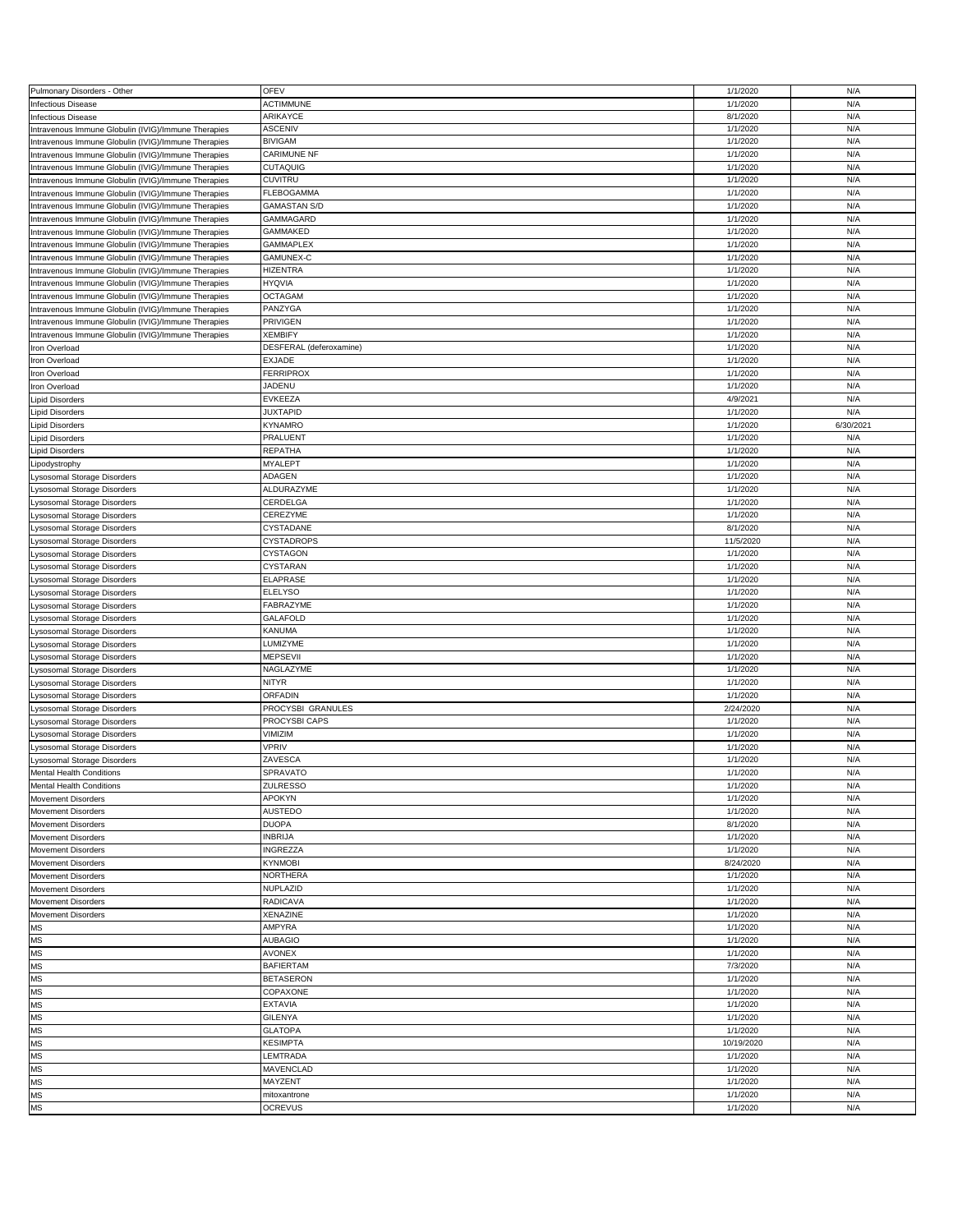| Pulmonary Disorders - Other                         | <b>OFEV</b>                    | 1/1/2020             | N/A        |
|-----------------------------------------------------|--------------------------------|----------------------|------------|
| <b>Infectious Disease</b>                           | <b>ACTIMMUNE</b>               | 1/1/2020             | N/A        |
| <b>Infectious Disease</b>                           | ARIKAYCE                       | 8/1/2020             | N/A        |
|                                                     |                                |                      |            |
| Intravenous Immune Globulin (IVIG)/Immune Therapies | <b>ASCENIV</b>                 | 1/1/2020             | N/A        |
| Intravenous Immune Globulin (IVIG)/Immune Therapies | <b>BIVIGAM</b>                 | 1/1/2020             | N/A        |
|                                                     |                                |                      |            |
| Intravenous Immune Globulin (IVIG)/Immune Therapies | <b>CARIMUNE NF</b>             | 1/1/2020             | N/A        |
| Intravenous Immune Globulin (IVIG)/Immune Therapies | CUTAQUIG                       | 1/1/2020             | N/A        |
| Intravenous Immune Globulin (IVIG)/Immune Therapies | <b>CUVITRU</b>                 | 1/1/2020             | N/A        |
|                                                     |                                |                      |            |
| Intravenous Immune Globulin (IVIG)/Immune Therapies | FLEBOGAMMA                     | 1/1/2020             | N/A        |
| Intravenous Immune Globulin (IVIG)/Immune Therapies | <b>GAMASTAN S/D</b>            | 1/1/2020             | N/A        |
|                                                     |                                |                      |            |
| Intravenous Immune Globulin (IVIG)/Immune Therapies | GAMMAGARD                      | 1/1/2020             | N/A        |
| Intravenous Immune Globulin (IVIG)/Immune Therapies | GAMMAKED                       | 1/1/2020             | N/A        |
|                                                     |                                |                      | N/A        |
| Intravenous Immune Globulin (IVIG)/Immune Therapies | <b>GAMMAPLEX</b>               | 1/1/2020             |            |
| Intravenous Immune Globulin (IVIG)/Immune Therapies | GAMUNEX-C                      | 1/1/2020             | N/A        |
| Intravenous Immune Globulin (IVIG)/Immune Therapies | HIZENTRA                       | 1/1/2020             | N/A        |
|                                                     |                                |                      |            |
| Intravenous Immune Globulin (IVIG)/Immune Therapies | <b>HYQVIA</b>                  | 1/1/2020             | N/A        |
| Intravenous Immune Globulin (IVIG)/Immune Therapies | <b>OCTAGAM</b>                 | 1/1/2020             | N/A        |
|                                                     |                                |                      |            |
| Intravenous Immune Globulin (IVIG)/Immune Therapies | PANZYGA                        | 1/1/2020             | N/A        |
| Intravenous Immune Globulin (IVIG)/Immune Therapies | PRIVIGEN                       | 1/1/2020             | N/A        |
|                                                     |                                |                      |            |
| Intravenous Immune Globulin (IVIG)/Immune Therapies | <b>XEMBIFY</b>                 | 1/1/2020             | N/A        |
| Iron Overload                                       | DESFERAL (deferoxamine)        | 1/1/2020             | N/A        |
|                                                     |                                |                      |            |
| Iron Overload                                       | EXJADE                         | 1/1/2020             | N/A        |
| Iron Overload                                       | <b>FERRIPROX</b>               | 1/1/2020             | N/A        |
|                                                     | JADENU                         | 1/1/2020             | N/A        |
| Iron Overload                                       |                                |                      |            |
| <b>Lipid Disorders</b>                              | EVKEEZA                        | 4/9/2021             | N/A        |
| ipid Disorders                                      | <b>JUXTAPID</b>                | 1/1/2020             | N/A        |
|                                                     |                                |                      |            |
| Lipid Disorders                                     | KYNAMRO                        | 1/1/2020             | 6/30/2021  |
| Lipid Disorders                                     | PRALUENT                       | 1/1/2020             | N/A        |
|                                                     |                                |                      |            |
| <b>Lipid Disorders</b>                              | REPATHA                        | 1/1/2020             | N/A        |
| Lipodystrophy                                       | <b>MYALEPT</b>                 | 1/1/2020             | N/A        |
|                                                     |                                |                      |            |
| Lysosomal Storage Disorders                         | ADAGEN                         | 1/1/2020             | N/A        |
| _ysosomal Storage Disorders                         | ALDURAZYME                     | 1/1/2020             | N/A        |
|                                                     |                                |                      |            |
| Lysosomal Storage Disorders                         | CERDELGA                       | 1/1/2020             | N/A        |
| Lysosomal Storage Disorders                         | CEREZYME                       | 1/1/2020             | N/A        |
|                                                     |                                |                      | N/A        |
| Lysosomal Storage Disorders                         | CYSTADANE                      | 8/1/2020             |            |
| Lysosomal Storage Disorders                         | CYSTADROPS                     | 11/5/2020            | N/A        |
|                                                     | CYSTAGON                       | 1/1/2020             | N/A        |
| Lysosomal Storage Disorders                         |                                |                      |            |
| Lysosomal Storage Disorders                         | CYSTARAN                       | 1/1/2020             | N/A        |
|                                                     | <b>ELAPRASE</b>                | 1/1/2020             | N/A        |
| Lysosomal Storage Disorders                         |                                |                      |            |
| _ysosomal Storage Disorders                         | <b>ELELYSO</b>                 | 1/1/2020             | N/A        |
| Lysosomal Storage Disorders                         | FABRAZYME                      | 1/1/2020             | N/A        |
|                                                     |                                |                      |            |
| Lysosomal Storage Disorders                         | GALAFOLD                       | 1/1/2020             | N/A        |
| Lysosomal Storage Disorders                         | KANUMA                         | 1/1/2020             | N/A        |
|                                                     |                                |                      |            |
| Lysosomal Storage Disorders                         | <b>LUMIZYME</b>                | 1/1/2020             | N/A        |
| Lysosomal Storage Disorders                         | <b>MEPSEVII</b>                | 1/1/2020             | N/A        |
|                                                     |                                |                      |            |
| Lysosomal Storage Disorders                         | NAGLAZYME                      | 1/1/2020             | N/A        |
| ysosomal Storage Disorders                          | <b>NITYR</b>                   | 1/1/2020             | N/A        |
|                                                     |                                |                      |            |
| Lysosomal Storage Disorders                         | ORFADIN                        | 1/1/2020             | N/A        |
| Lysosomal Storage Disorders                         | PROCYSBI GRANULES              | 2/24/2020            | N/A        |
|                                                     |                                |                      | N/A        |
| Lysosomal Storage Disorders                         | PROCYSBI CAPS                  | 1/1/2020             |            |
| Lysosomal Storage Disorders                         | VIMIZIM                        | 1/1/2020             | N/A        |
| Lysosomal Storage Disorders                         | VPRIV                          | 1/1/2020             | N/A        |
|                                                     |                                |                      |            |
| Lysosomal Storage Disorders                         | ZAVESCA                        | 1/1/2020             | N/A        |
| <b>Mental Health Conditions</b>                     | SPRAVATO                       | 1/1/2020             | N/A        |
|                                                     |                                |                      |            |
| <b>Mental Health Conditions</b>                     | <b>ZULRESSO</b>                | 1/1/2020             | N/A        |
| <b>Movement Disorders</b>                           | <b>APOKYN</b>                  | 1/1/2020             | N/A        |
|                                                     |                                |                      |            |
| <b>Movement Disorders</b>                           | <b>AUSTEDO</b>                 | 1/1/2020             | N/A        |
| Movement Disorders                                  | <b>DUOPA</b>                   | 8/1/2020             | N/A        |
|                                                     | <b>INBRIJA</b>                 | 1/1/2020             | N/A        |
| <b>Movement Disorders</b>                           |                                |                      |            |
| Movement Disorders                                  | <b>INGREZZA</b>                | 1/1/2020             | N/A        |
| Movement Disorders                                  | KYNMOBI                        | 8/24/2020            | N/A        |
|                                                     |                                |                      |            |
| Movement Disorders                                  | NORTHERA                       | 1/1/2020             | N/A        |
| <b>Movement Disorders</b>                           | NUPLAZID                       | 1/1/2020             | N/A        |
|                                                     |                                |                      |            |
| <b>Movement Disorders</b>                           | <b>RADICAVA</b>                | 1/1/2020             | N/A        |
| Movement Disorders                                  | XENAZINE                       | 1/1/2020             | N/A        |
|                                                     |                                |                      |            |
| <b>MS</b>                                           | AMPYRA                         | 1/1/2020             | N/A        |
| <b>MS</b>                                           | <b>AUBAGIO</b>                 | 1/1/2020             | N/A        |
| <b>MS</b>                                           | AVONEX                         | 1/1/2020             | N/A        |
|                                                     |                                |                      |            |
| <b>MS</b>                                           | <b>BAFIERTAM</b>               | 7/3/2020             | N/A        |
| <b>MS</b>                                           | <b>BETASERON</b>               | 1/1/2020             | N/A        |
|                                                     |                                |                      |            |
| <b>MS</b>                                           | COPAXONE                       | 1/1/2020             | N/A        |
| <b>MS</b>                                           | EXTAVIA                        | 1/1/2020             | N/A        |
|                                                     |                                |                      |            |
| <b>MS</b>                                           | <b>GILENYA</b>                 | 1/1/2020             | N/A        |
| <b>MS</b>                                           | <b>GLATOPA</b>                 | 1/1/2020             | N/A        |
|                                                     |                                |                      |            |
| MS                                                  | <b>KESIMPTA</b>                | 10/19/2020           | N/A        |
| <b>MS</b>                                           | LEMTRADA                       | 1/1/2020             | N/A        |
| <b>MS</b>                                           | MAVENCLAD                      | 1/1/2020             | N/A        |
|                                                     |                                |                      |            |
| <b>MS</b>                                           |                                |                      |            |
|                                                     | MAYZENT                        | 1/1/2020             | N/A        |
|                                                     |                                |                      |            |
| <b>MS</b><br><b>MS</b>                              | mitoxantrone<br><b>OCREVUS</b> | 1/1/2020<br>1/1/2020 | N/A<br>N/A |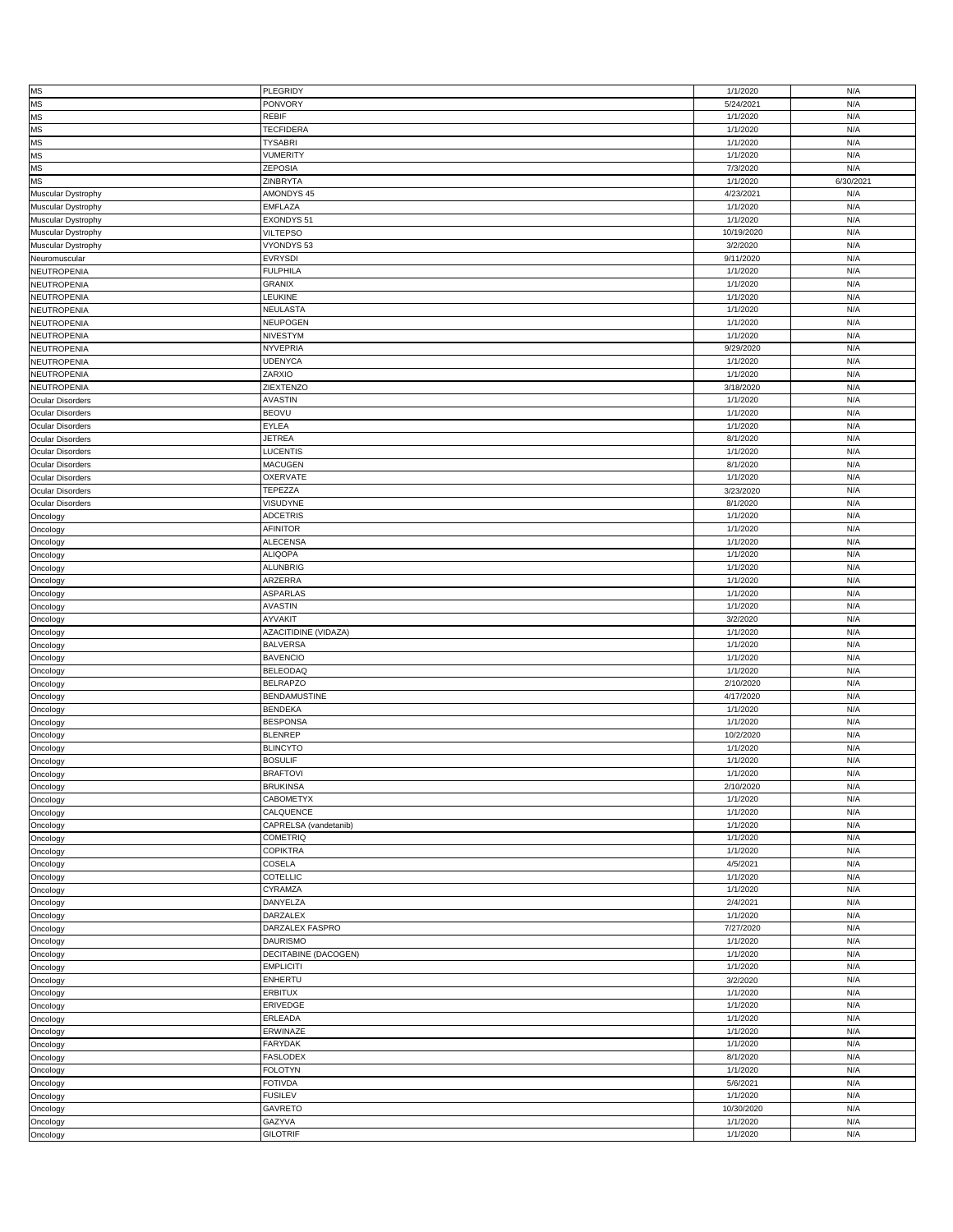| <b>MS</b>               | PLEGRIDY                  | 1/1/2020             | N/A        |
|-------------------------|---------------------------|----------------------|------------|
| <b>MS</b>               | PONVORY                   | 5/24/2021            | N/A        |
|                         |                           |                      |            |
| <b>MS</b>               | REBIF                     | 1/1/2020             | N/A        |
| <b>MS</b>               | <b>TECFIDERA</b>          | 1/1/2020             | N/A        |
|                         |                           |                      |            |
| <b>MS</b>               | <b>TYSABRI</b>            | 1/1/2020             | N/A        |
| <b>MS</b>               | <b>VUMERITY</b>           | 1/1/2020             | N/A        |
|                         |                           |                      |            |
| <b>MS</b>               | ZEPOSIA                   | 7/3/2020             | N/A        |
| <b>MS</b>               | ZINBRYTA                  | 1/1/2020             | 6/30/2021  |
|                         |                           |                      |            |
| Muscular Dystrophy      | AMONDYS 45                | 4/23/2021            | N/A        |
| Muscular Dystrophy      | <b>EMFLAZA</b>            | 1/1/2020             | N/A        |
|                         |                           |                      |            |
| Muscular Dystrophy      | EXONDYS 51                | 1/1/2020             | N/A        |
| Muscular Dystrophy      | <b>VILTEPSO</b>           | 10/19/2020           | N/A        |
|                         |                           |                      |            |
| Muscular Dystrophy      | VYONDYS 53                | 3/2/2020             | N/A        |
| Neuromuscular           | <b>EVRYSDI</b>            | 9/11/2020            | N/A        |
|                         |                           |                      |            |
| <b>NEUTROPENIA</b>      | <b>FULPHILA</b>           | 1/1/2020             | N/A        |
| NEUTROPENIA             | <b>GRANIX</b>             | 1/1/2020             | N/A        |
|                         |                           |                      |            |
| NEUTROPENIA             | LEUKINE                   | 1/1/2020             | N/A        |
| NEUTROPENIA             | NEULASTA                  | 1/1/2020             | N/A        |
|                         |                           |                      |            |
| NEUTROPENIA             | NEUPOGEN                  | 1/1/2020             | N/A        |
| NEUTROPENIA             | NIVESTYM                  |                      | N/A        |
|                         |                           | 1/1/2020             |            |
| NEUTROPENIA             | <b>NYVEPRIA</b>           | 9/29/2020            | N/A        |
|                         |                           |                      |            |
| NEUTROPENIA             | <b>UDENYCA</b>            | 1/1/2020             | N/A        |
| NEUTROPENIA             | ZARXIO                    | 1/1/2020             | N/A        |
|                         |                           |                      |            |
| <b>NEUTROPENIA</b>      | ZIEXTENZO                 | 3/18/2020            | N/A        |
| <b>Ocular Disorders</b> | <b>AVASTIN</b>            | 1/1/2020             | N/A        |
|                         |                           |                      |            |
| <b>Ocular Disorders</b> | <b>BEOVU</b>              | 1/1/2020             | N/A        |
| <b>Ocular Disorders</b> | EYLEA                     | 1/1/2020             | N/A        |
|                         |                           |                      |            |
| <b>Ocular Disorders</b> | <b>JETREA</b>             | 8/1/2020             | N/A        |
|                         | LUCENTIS                  | 1/1/2020             | N/A        |
| <b>Ocular Disorders</b> |                           |                      |            |
| <b>Ocular Disorders</b> | <b>MACUGEN</b>            | 8/1/2020             | N/A        |
|                         | OXERVATE                  | 1/1/2020             | N/A        |
| <b>Ocular Disorders</b> |                           |                      |            |
| <b>Ocular Disorders</b> | TEPEZZA                   | 3/23/2020            | N/A        |
|                         |                           |                      |            |
| Ocular Disorders        | VISUDYNE                  | 8/1/2020             | N/A        |
| Oncology                | <b>ADCETRIS</b>           | 1/1/2020             | N/A        |
|                         |                           |                      |            |
| Oncology                | AFINITOR                  | 1/1/2020             | N/A        |
| Oncology                | <b>ALECENSA</b>           | 1/1/2020             | N/A        |
|                         |                           |                      |            |
| Oncology                | <b>ALIQOPA</b>            | 1/1/2020             | N/A        |
|                         | <b>ALUNBRIG</b>           | 1/1/2020             | N/A        |
| Oncology                |                           |                      |            |
| Oncology                | ARZERRA                   | 1/1/2020             | N/A        |
|                         | <b>ASPARLAS</b>           | 1/1/2020             | N/A        |
| Oncology                |                           |                      |            |
| Oncology                | <b>AVASTIN</b>            | 1/1/2020             | N/A        |
|                         |                           |                      |            |
|                         |                           |                      |            |
| Oncology                | AYVAKIT                   | 3/2/2020             | N/A        |
|                         |                           |                      |            |
| Oncology                | AZACITIDINE (VIDAZA)      | 1/1/2020             | N/A        |
| Oncology                | <b>BALVERSA</b>           | 1/1/2020             | N/A        |
|                         |                           |                      |            |
| Oncology                | <b>BAVENCIO</b>           | 1/1/2020             | N/A        |
| Oncology                | <b>BELEODAQ</b>           | 1/1/2020             | N/A        |
|                         |                           |                      |            |
| Oncology                | <b>BELRAPZO</b>           | 2/10/2020            | N/A        |
| Oncology                | <b>BENDAMUSTINE</b>       | 4/17/2020            | N/A        |
|                         |                           |                      |            |
| Oncology                | <b>BENDEKA</b>            | 1/1/2020             | N/A        |
| Oncology                | <b>BESPONSA</b>           | 1/1/2020             | N/A        |
|                         |                           |                      |            |
| Oncology                | <b>BLENREP</b>            | 10/2/2020            | N/A        |
| Oncology                | <b>BLINCYTO</b>           | 1/1/2020             | N/A        |
|                         |                           |                      |            |
| Oncology                | <b>BOSULIF</b>            | 1/1/2020             | N/A        |
| Oncology                | <b>BRAFTOVI</b>           | 1/1/2020             | N/A        |
|                         |                           |                      |            |
| Oncology                | <b>BRUKINSA</b>           | 2/10/2020            | N/A        |
| Oncology                | CABOMETYX                 | 1/1/2020             | N/A        |
|                         |                           |                      |            |
| Oncology                | CALQUENCE                 | 1/1/2020             | N/A        |
| Oncology                | CAPRELSA (vandetanib)     | 1/1/2020             | N/A        |
|                         |                           |                      |            |
| Oncology                | <b>COMETRIQ</b>           | 1/1/2020             | N/A        |
| Oncology                | <b>COPIKTRA</b>           | 1/1/2020             | N/A        |
|                         |                           |                      |            |
| Oncology                | COSELA                    | 4/5/2021             | N/A        |
| Oncology                | COTELLIC                  | 1/1/2020             | N/A        |
|                         |                           |                      |            |
| Oncology                | CYRAMZA                   | 1/1/2020             | N/A        |
|                         | DANYELZA                  | 2/4/2021             | N/A        |
| Oncology                |                           |                      |            |
| Oncology                | <b>DARZALEX</b>           | 1/1/2020             | N/A        |
|                         | DARZALEX FASPRO           | 7/27/2020            | N/A        |
| Oncology                |                           |                      |            |
| Oncology                | <b>DAURISMO</b>           | 1/1/2020             | N/A        |
|                         |                           |                      |            |
| Oncology                | DECITABINE (DACOGEN)      | 1/1/2020             | N/A        |
| Oncology                | <b>EMPLICITI</b>          | 1/1/2020             | N/A        |
|                         |                           |                      |            |
| Oncology                | ENHERTU                   | 3/2/2020             | N/A        |
| Oncology                | <b>ERBITUX</b>            | 1/1/2020             | N/A        |
|                         |                           |                      |            |
| Oncology                | ERIVEDGE                  | 1/1/2020             | N/A        |
| Oncology                | ERLEADA                   | 1/1/2020             | N/A        |
|                         |                           |                      |            |
| Oncology                | ERWINAZE                  | 1/1/2020             | N/A        |
| Oncology                | <b>FARYDAK</b>            | 1/1/2020             | N/A        |
|                         |                           |                      |            |
| Oncology                | <b>FASLODEX</b>           | 8/1/2020             | N/A        |
|                         | <b>FOLOTYN</b>            | 1/1/2020             | N/A        |
| Oncology                |                           |                      |            |
| Oncology                | <b>FOTIVDA</b>            | 5/6/2021             | N/A        |
|                         |                           |                      |            |
| Oncology                | <b>FUSILEV</b>            | 1/1/2020             | N/A        |
| Oncology                | <b>GAVRETO</b>            | 10/30/2020           | N/A        |
|                         |                           |                      |            |
| Oncology<br>Oncology    | GAZYVA<br><b>GILOTRIF</b> | 1/1/2020<br>1/1/2020 | N/A<br>N/A |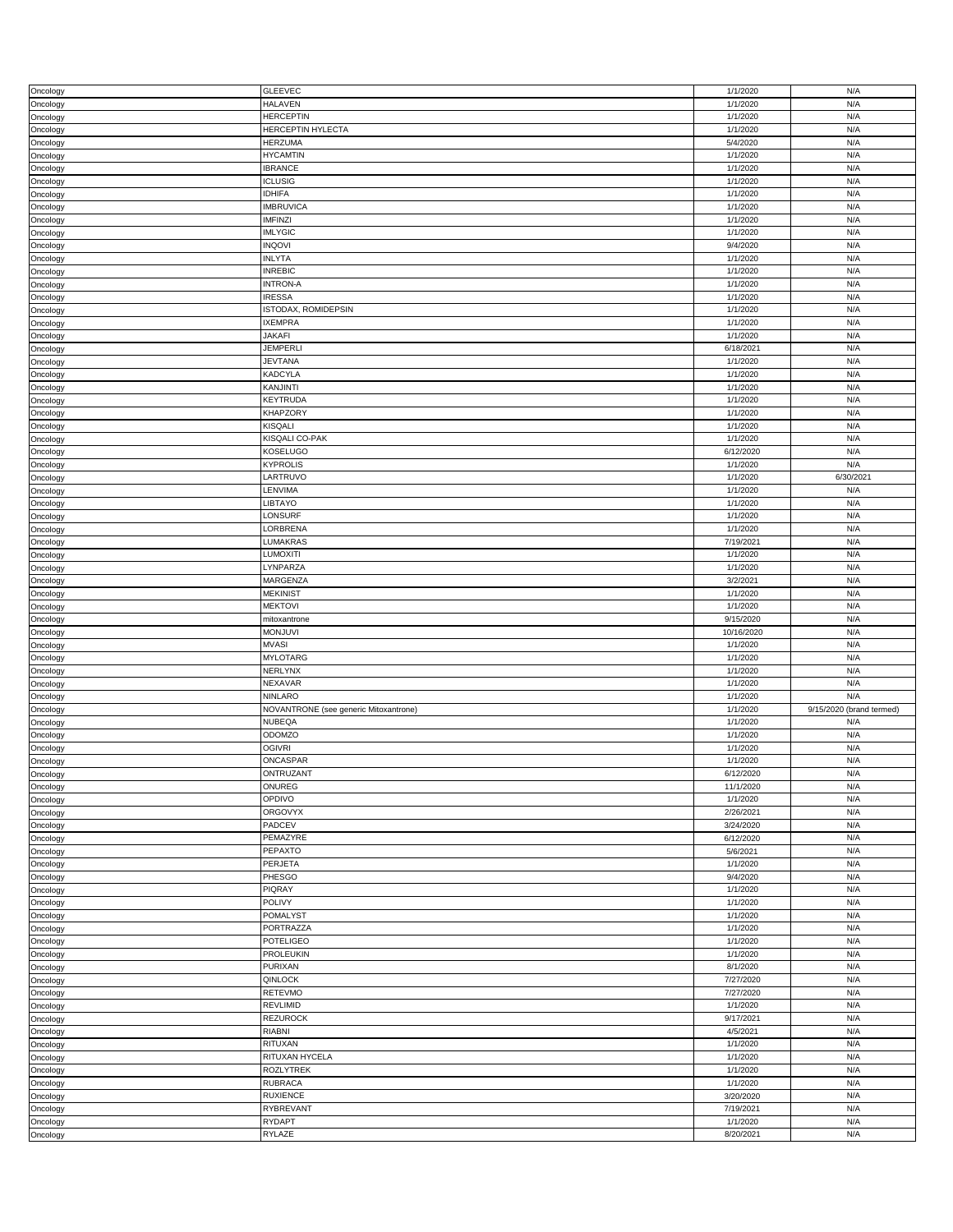| Oncology | <b>GLEEVEC</b>                        | 1/1/2020   | N/A                      |
|----------|---------------------------------------|------------|--------------------------|
| Oncology | <b>HALAVEN</b>                        | 1/1/2020   | N/A                      |
| Oncology | <b>HERCEPTIN</b>                      | 1/1/2020   | N/A                      |
| Oncology | <b>HERCEPTIN HYLECTA</b>              | 1/1/2020   | N/A                      |
|          |                                       |            |                          |
| Oncology | <b>HERZUMA</b>                        | 5/4/2020   | N/A                      |
| Oncology | <b>HYCAMTIN</b>                       | 1/1/2020   | N/A                      |
| Oncology | <b>IBRANCE</b>                        | 1/1/2020   | N/A                      |
|          |                                       |            |                          |
| Oncology | <b>ICLUSIG</b>                        | 1/1/2020   | N/A                      |
| Oncology | <b>IDHIFA</b>                         | 1/1/2020   | N/A                      |
| Oncology | <b>IMBRUVICA</b>                      | 1/1/2020   | N/A                      |
|          |                                       |            |                          |
| Oncology | <b>IMFINZI</b>                        | 1/1/2020   | N/A                      |
| Oncology | <b>IMLYGIC</b>                        | 1/1/2020   | N/A                      |
| Oncology | <b>INQOVI</b>                         | 9/4/2020   | N/A                      |
|          |                                       |            |                          |
| Oncology | <b>INLYTA</b>                         | 1/1/2020   | N/A                      |
| Oncology | <b>INREBIC</b>                        | 1/1/2020   | N/A                      |
| Oncology | <b>INTRON-A</b>                       | 1/1/2020   | N/A                      |
|          |                                       |            |                          |
| Oncology | <b>IRESSA</b>                         | 1/1/2020   | N/A                      |
| Oncology | ISTODAX, ROMIDEPSIN                   | 1/1/2020   | N/A                      |
| Oncology | <b>IXEMPRA</b>                        | 1/1/2020   | N/A                      |
|          |                                       |            |                          |
| Oncology | <b>JAKAFI</b>                         | 1/1/2020   | N/A                      |
| Oncology | <b>JEMPERLI</b>                       | 6/18/2021  | N/A                      |
| Oncology | <b>JEVTANA</b>                        | 1/1/2020   | N/A                      |
|          |                                       |            |                          |
| Oncology | <b>KADCYLA</b>                        | 1/1/2020   | N/A                      |
| Oncology | KANJINTI                              | 1/1/2020   | N/A                      |
| Oncology | KEYTRUDA                              | 1/1/2020   | N/A                      |
|          |                                       |            |                          |
| Oncology | <b>KHAPZORY</b>                       | 1/1/2020   | N/A                      |
| Oncology | KISQALI                               | 1/1/2020   | N/A                      |
|          | KISQALI CO-PAK                        | 1/1/2020   | N/A                      |
| Oncology |                                       |            |                          |
| Oncology | <b>KOSELUGO</b>                       | 6/12/2020  | N/A                      |
| Oncology | <b>KYPROLIS</b>                       | 1/1/2020   | N/A                      |
|          | LARTRUVO                              | 1/1/2020   | 6/30/2021                |
| Oncology |                                       |            |                          |
| Oncology | LENVIMA                               | 1/1/2020   | N/A                      |
| Oncology | LIBTAYO                               | 1/1/2020   | N/A                      |
|          |                                       |            |                          |
| Oncology | LONSURF                               | 1/1/2020   | N/A                      |
| Oncology | LORBRENA                              | 1/1/2020   | N/A                      |
| Oncology | LUMAKRAS                              | 7/19/2021  | N/A                      |
|          |                                       |            |                          |
| Oncology | <b>LUMOXITI</b>                       | 1/1/2020   | N/A                      |
| Oncology | LYNPARZA                              | 1/1/2020   | N/A                      |
| Oncology | MARGENZA                              | 3/2/2021   | N/A                      |
|          |                                       |            |                          |
| Oncology | <b>MEKINIST</b>                       | 1/1/2020   | N/A                      |
| Oncology | <b>MEKTOVI</b>                        | 1/1/2020   | N/A                      |
|          |                                       |            |                          |
|          |                                       |            |                          |
| Oncology | mitoxantrone                          | 9/15/2020  | N/A                      |
| Oncology | <b>MONJUVI</b>                        | 10/16/2020 | N/A                      |
|          | <b>MVASI</b>                          | 1/1/2020   | N/A                      |
| Oncology |                                       |            |                          |
| Oncology | <b>MYLOTARG</b>                       | 1/1/2020   | N/A                      |
| Oncology | NERLYNX                               | 1/1/2020   | N/A                      |
|          | NEXAVAR                               | 1/1/2020   | N/A                      |
| Oncology |                                       |            |                          |
| Oncology | <b>NINLARO</b>                        | 1/1/2020   | N/A                      |
| Oncology | NOVANTRONE (see generic Mitoxantrone) | 1/1/2020   | 9/15/2020 (brand termed) |
| Oncology | <b>NUBEQA</b>                         | 1/1/2020   | N/A                      |
|          |                                       |            |                          |
| Oncology | ODOMZO                                | 1/1/2020   | N/A                      |
| Oncology | <b>OGIVRI</b>                         | 1/1/2020   | N/A                      |
| Oncology | ONCASPAR                              | 1/1/2020   | N/A                      |
|          |                                       |            |                          |
| Oncology | ONTRUZANT                             | 6/12/2020  | N/A                      |
| Oncology | ONUREG                                | 11/1/2020  | N/A                      |
| Oncology | OPDIVO                                | 1/1/2020   | N/A                      |
|          |                                       |            | N/A                      |
| Oncology | <b>ORGOVYX</b>                        | 2/26/2021  |                          |
| Oncology | PADCEV                                | 3/24/2020  | N/A                      |
| Oncology | PEMAZYRE                              | 6/12/2020  | N/A                      |
|          | PEPAXTO                               | 5/6/2021   | N/A                      |
| Oncology |                                       |            |                          |
| Oncology | PERJETA                               | 1/1/2020   | N/A                      |
| Oncology | PHESGO                                | 9/4/2020   | N/A                      |
| Oncology | PIQRAY                                | 1/1/2020   | N/A                      |
|          |                                       |            |                          |
| Oncology | <b>POLIVY</b>                         | 1/1/2020   | N/A                      |
| Oncology | POMALYST                              | 1/1/2020   | N/A                      |
| Oncology | PORTRAZZA                             | 1/1/2020   | N/A                      |
|          |                                       |            |                          |
| Oncology | POTELIGEO                             | 1/1/2020   | N/A                      |
| Oncology | PROLEUKIN                             | 1/1/2020   | N/A                      |
| Oncology | PURIXAN                               | 8/1/2020   | N/A                      |
|          |                                       |            |                          |
| Oncology | QINLOCK                               | 7/27/2020  | N/A                      |
| Oncology | RETEVMO                               | 7/27/2020  | N/A                      |
|          | REVLIMID                              | 1/1/2020   | N/A                      |
| Oncology |                                       |            |                          |
| Oncology | REZUROCK                              | 9/17/2021  | N/A                      |
| Oncology | RIABNI                                | 4/5/2021   | N/A                      |
| Oncology | RITUXAN                               | 1/1/2020   | N/A                      |
|          |                                       |            |                          |
| Oncology | RITUXAN HYCELA                        | 1/1/2020   | N/A                      |
| Oncology | <b>ROZLYTREK</b>                      | 1/1/2020   | N/A                      |
| Oncology | <b>RUBRACA</b>                        | 1/1/2020   | N/A                      |
|          |                                       |            |                          |
| Oncology | <b>RUXIENCE</b>                       | 3/20/2020  | N/A                      |
| Oncology | RYBREVANT                             | 7/19/2021  | N/A                      |
| Oncology | RYDAPT                                | 1/1/2020   | N/A                      |
| Oncology | RYLAZE                                | 8/20/2021  | N/A                      |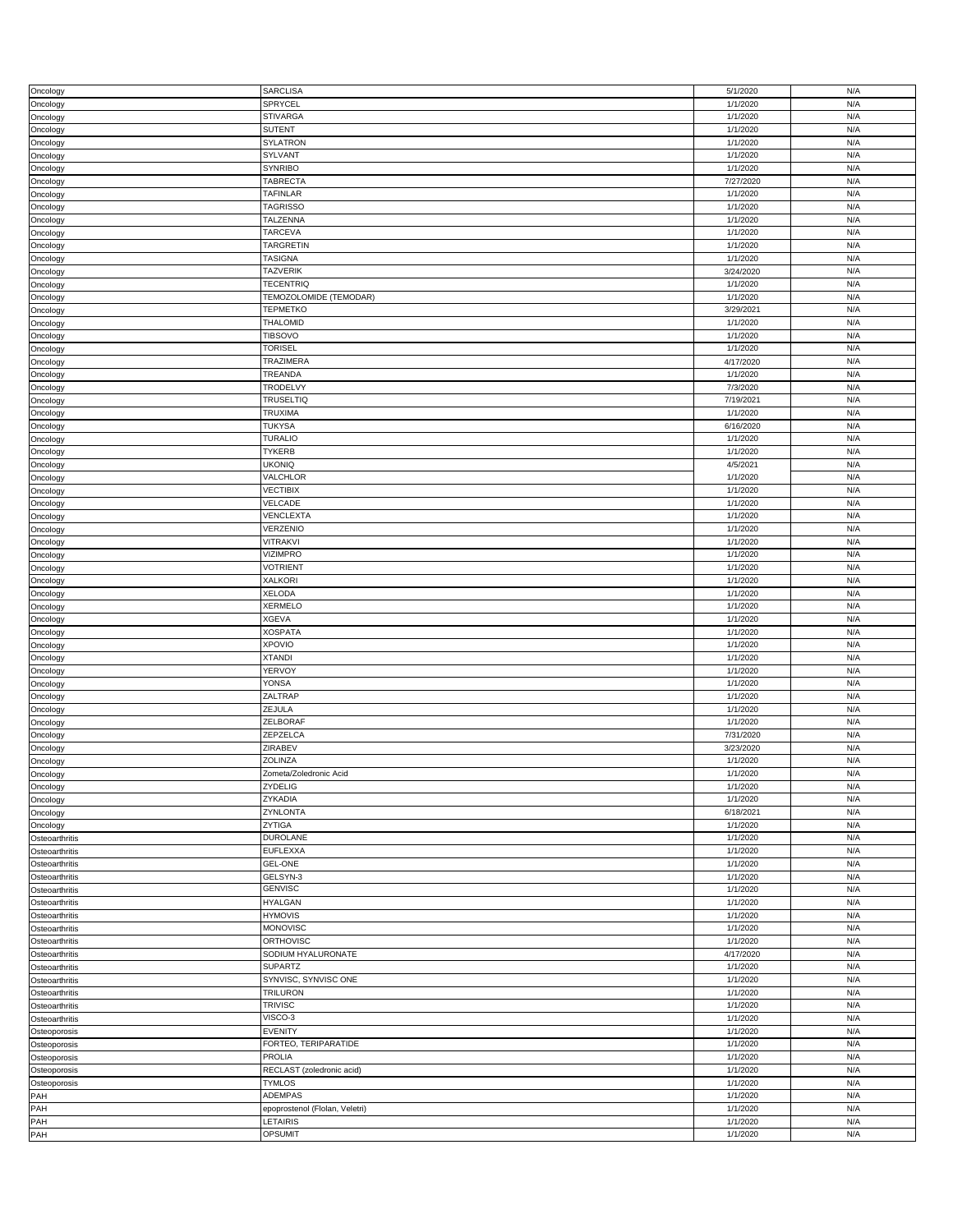| Oncology       | <b>SARCLISA</b>                | 5/1/2020             | N/A        |
|----------------|--------------------------------|----------------------|------------|
| Oncology       | SPRYCEL                        | 1/1/2020             | N/A        |
| Oncology       | <b>STIVARGA</b>                | 1/1/2020             | N/A        |
|                | <b>SUTENT</b>                  | 1/1/2020             | N/A        |
| Oncology       |                                |                      |            |
| Oncology       | <b>SYLATRON</b>                | 1/1/2020             | N/A        |
| Oncology       | SYLVANT                        | 1/1/2020             | N/A        |
| Oncology       | <b>SYNRIBO</b>                 | 1/1/2020             | N/A        |
|                |                                |                      |            |
| Oncology       | TABRECTA                       | 7/27/2020            | N/A        |
| Oncology       | TAFINLAR                       | 1/1/2020             | N/A        |
|                | <b>TAGRISSO</b>                | 1/1/2020             | N/A        |
| Oncology       |                                |                      |            |
| Oncology       | TALZENNA                       | 1/1/2020             | N/A        |
| Oncology       | <b>TARCEVA</b>                 | 1/1/2020             | N/A        |
|                | TARGRETIN                      | 1/1/2020             | N/A        |
| Oncology       |                                |                      |            |
| Oncology       | TASIGNA                        | 1/1/2020             | N/A        |
| Oncology       | <b>TAZVERIK</b>                | 3/24/2020            | N/A        |
| Oncology       | <b>TECENTRIQ</b>               | 1/1/2020             | N/A        |
|                |                                |                      |            |
| Oncology       | TEMOZOLOMIDE (TEMODAR)         | 1/1/2020             | N/A        |
| Oncology       | <b>TEPMETKO</b>                | 3/29/2021            | N/A        |
| Oncology       | THALOMID                       | 1/1/2020             | N/A        |
|                |                                |                      |            |
| Oncology       | <b>TIBSOVO</b>                 | 1/1/2020             | N/A        |
| Oncology       | <b>TORISEL</b>                 | 1/1/2020             | N/A        |
|                |                                |                      | N/A        |
| Oncology       | TRAZIMERA                      | 4/17/2020            |            |
| Oncology       | TREANDA                        | 1/1/2020             | N/A        |
| Oncology       | TRODELVY                       | 7/3/2020             | N/A        |
|                |                                |                      |            |
| Oncology       | <b>TRUSELTIQ</b>               | 7/19/2021            | N/A        |
| Oncology       | TRUXIMA                        | 1/1/2020             | N/A        |
| Oncology       | <b>TUKYSA</b>                  | 6/16/2020            | N/A        |
|                |                                |                      |            |
| Oncology       | <b>TURALIO</b>                 | 1/1/2020             | N/A        |
| Oncology       | <b>TYKERB</b>                  | 1/1/2020             | N/A        |
|                | <b>UKONIQ</b>                  | 4/5/2021             | N/A        |
| Oncology       |                                |                      |            |
| Oncology       | VALCHLOR                       | 1/1/2020             | N/A        |
| Oncology       | <b>VECTIBIX</b>                | 1/1/2020             | N/A        |
|                |                                |                      |            |
| Oncology       | VELCADE                        | 1/1/2020             | N/A        |
| Oncology       | VENCLEXTA                      | 1/1/2020             | N/A        |
| Oncology       | VERZENIO                       | 1/1/2020             | N/A        |
|                |                                |                      |            |
| Oncology       | VITRAKVI                       | 1/1/2020             | N/A        |
| Oncology       | <b>VIZIMPRO</b>                | 1/1/2020             | N/A        |
|                | <b>VOTRIENT</b>                | 1/1/2020             | N/A        |
| Oncology       |                                |                      |            |
| Oncology       | <b>XALKORI</b>                 | 1/1/2020             | N/A        |
| Oncology       | <b>XELODA</b>                  | 1/1/2020             | N/A        |
|                |                                |                      |            |
| Oncology       | <b>XERMELO</b>                 | 1/1/2020             | N/A        |
|                |                                |                      |            |
| Oncology       | <b>XGEVA</b>                   | 1/1/2020             | N/A        |
|                |                                |                      |            |
| Oncology       | <b>XOSPATA</b>                 | 1/1/2020             | N/A        |
| Oncology       | <b>XPOVIO</b>                  | 1/1/2020             | N/A        |
|                | <b>XTANDI</b>                  | 1/1/2020             | N/A        |
| Oncology       |                                |                      |            |
| Oncology       | YERVOY                         | 1/1/2020             | N/A        |
| Oncology       | <b>YONSA</b>                   | 1/1/2020             | N/A        |
|                | ZALTRAP                        | 1/1/2020             | N/A        |
| Oncology       |                                |                      |            |
| Oncology       | ZEJULA                         | 1/1/2020             | N/A        |
| Oncology       | ZELBORAF                       | 1/1/2020             | N/A        |
|                | ZEPZELCA                       |                      | N/A        |
| Oncology       |                                | 7/31/2020            |            |
| Oncology       | ZIRABEV                        | 3/23/2020            | N/A        |
| Oncology       | ZOLINZA                        | 1/1/2020             | N/A        |
|                |                                | 1/1/2020             | N/A        |
| Oncology       | Zometa/Zoledronic Acid         |                      |            |
| Oncology       | ZYDELIG                        | 1/1/2020             | N/A        |
| Oncology       | ZYKADIA                        | 1/1/2020             | N/A        |
|                | ZYNLONTA                       | 6/18/2021            | N/A        |
| Oncology       |                                |                      |            |
| Oncology       | ZYTIGA                         | 1/1/2020             | N/A        |
| Osteoarthritis | <b>DUROLANE</b>                | 1/1/2020             | N/A        |
| Osteoarthritis | <b>EUFLEXXA</b>                | 1/1/2020             | N/A        |
|                |                                |                      |            |
| Osteoarthritis | <b>GEL-ONE</b>                 | 1/1/2020             | N/A        |
| Osteoarthritis | GELSYN-3                       | 1/1/2020             | N/A        |
| Osteoarthritis | <b>GENVISC</b>                 | 1/1/2020             | N/A        |
|                |                                |                      |            |
| Osteoarthritis | <b>HYALGAN</b>                 | 1/1/2020             | N/A        |
| Osteoarthritis | <b>HYMOVIS</b>                 | 1/1/2020             | N/A        |
| Osteoarthritis | MONOVISC                       | 1/1/2020             | N/A        |
|                |                                |                      |            |
| Osteoarthritis | <b>ORTHOVISC</b>               | 1/1/2020             | N/A        |
| Osteoarthritis | SODIUM HYALURONATE             | 4/17/2020            | N/A        |
|                | <b>SUPARTZ</b>                 |                      | N/A        |
| Osteoarthritis |                                | 1/1/2020             |            |
| Osteoarthritis | SYNVISC, SYNVISC ONE           | 1/1/2020             | N/A        |
| Osteoarthritis | TRILURON                       | 1/1/2020             | N/A        |
|                |                                |                      | N/A        |
| Osteoarthritis | <b>TRIVISC</b>                 | 1/1/2020             |            |
| Osteoarthritis | VISCO-3                        | 1/1/2020             | N/A        |
| Osteoporosis   | <b>EVENITY</b>                 | 1/1/2020             | N/A        |
|                |                                |                      |            |
| Osteoporosis   | FORTEO, TERIPARATIDE           | 1/1/2020             | N/A        |
| Osteoporosis   | PROLIA                         | 1/1/2020             | N/A        |
| Osteoporosis   | RECLAST (zoledronic acid)      | 1/1/2020             | N/A        |
|                |                                |                      |            |
| Osteoporosis   | <b>TYMLOS</b>                  | 1/1/2020             | N/A        |
| PAH            | ADEMPAS                        | 1/1/2020             | N/A        |
| PAH            | epoprostenol (Flolan, Veletri) | 1/1/2020             | N/A        |
|                |                                |                      |            |
| PAH<br>PAH     | LETAIRIS<br>OPSUMIT            | 1/1/2020<br>1/1/2020 | N/A<br>N/A |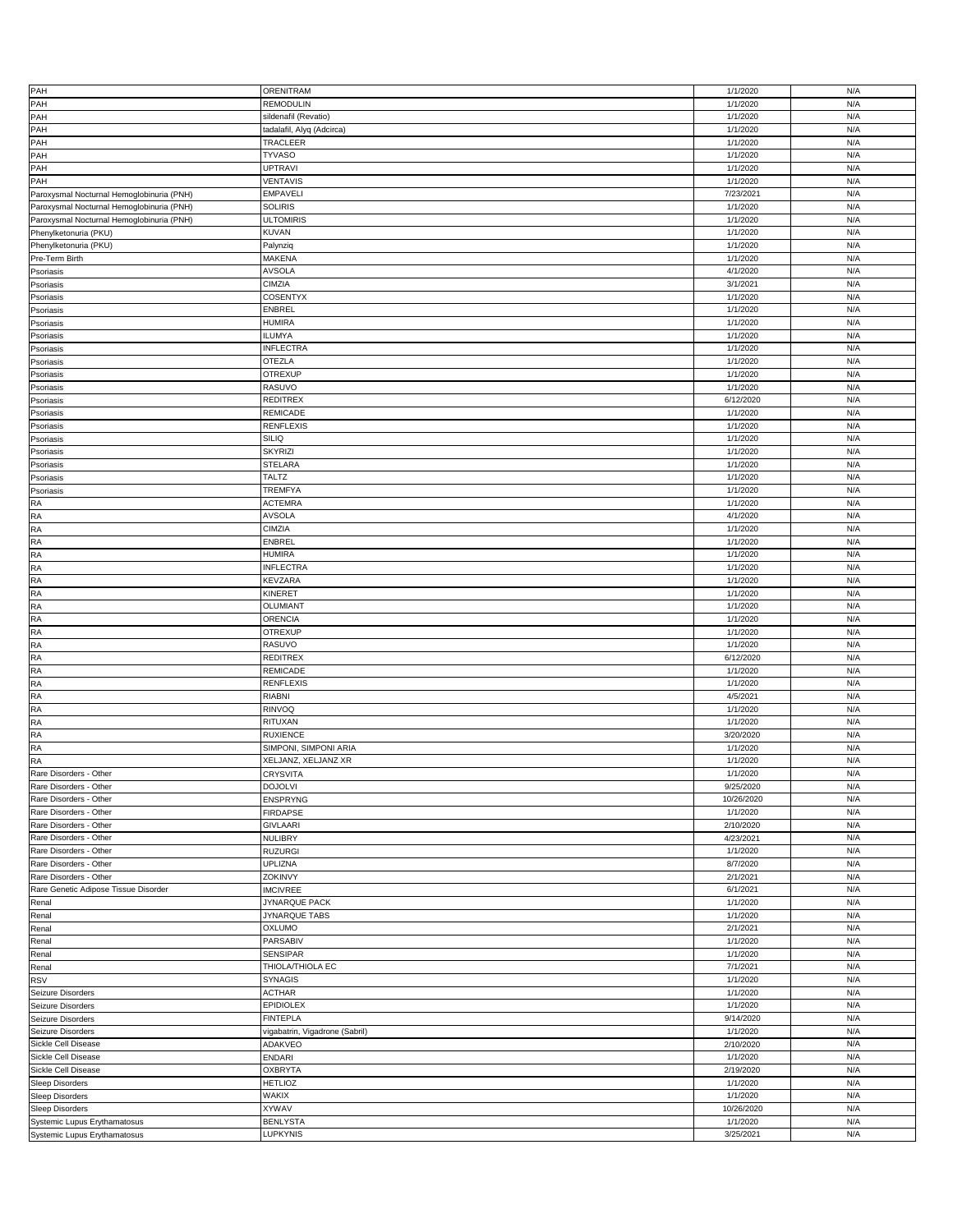|                                                              | <b>ORENITRAM</b>               |                       |            |
|--------------------------------------------------------------|--------------------------------|-----------------------|------------|
| PAH                                                          |                                | 1/1/2020              | N/A        |
| PAH                                                          | REMODULIN                      | 1/1/2020              | N/A        |
| PAH                                                          | sildenafil (Revatio)           | 1/1/2020              | N/A        |
| PAH                                                          | tadalafil, Alyq (Adcirca)      | 1/1/2020              | N/A        |
|                                                              |                                |                       |            |
| PAH                                                          | TRACLEER                       | 1/1/2020              | N/A        |
| PAH                                                          | <b>TYVASO</b>                  | 1/1/2020              | N/A        |
| PAH                                                          | UPTRAVI                        | 1/1/2020              | N/A        |
|                                                              |                                |                       |            |
| PAH                                                          | VENTAVIS                       | 1/1/2020              | N/A        |
| Paroxysmal Nocturnal Hemoglobinuria (PNH)                    | <b>EMPAVELI</b>                | 7/23/2021             | N/A        |
| Paroxysmal Nocturnal Hemoglobinuria (PNH)                    | <b>SOLIRIS</b>                 | 1/1/2020              | N/A        |
|                                                              |                                |                       |            |
| Paroxysmal Nocturnal Hemoglobinuria (PNH)                    | <b>JLTOMIRIS</b>               | 1/1/2020              | N/A        |
| Phenylketonuria (PKU)                                        | KUVAN                          | 1/1/2020              | N/A        |
| Phenylketonuria (PKU)                                        | Palynziq                       | 1/1/2020              | N/A        |
|                                                              |                                |                       |            |
| Pre-Term Birth                                               | MAKENA                         | 1/1/2020              | N/A        |
| Psoriasis                                                    | <b>AVSOLA</b>                  | 4/1/2020              | N/A        |
| Psoriasis                                                    | CIMZIA                         | 3/1/2021              | N/A        |
|                                                              |                                |                       |            |
| Psoriasis                                                    | COSENTYX                       | 1/1/2020              | N/A        |
| Psoriasis                                                    | ENBREL                         | 1/1/2020              | N/A        |
| Psoriasis                                                    | HUMIRA                         | 1/1/2020              | N/A        |
|                                                              |                                |                       |            |
| Psoriasis                                                    | <b>ILUMYA</b>                  | 1/1/2020              | N/A        |
| Psoriasis                                                    | <b>INFLECTRA</b>               | 1/1/2020              | N/A        |
| Psoriasis                                                    | OTEZLA                         | 1/1/2020              | N/A        |
|                                                              |                                |                       |            |
| Psoriasis                                                    | <b>OTREXUP</b>                 | 1/1/2020              | N/A        |
| Psoriasis                                                    | RASUVO                         | 1/1/2020              | N/A        |
| Psoriasis                                                    | REDITREX                       | 6/12/2020             | N/A        |
|                                                              |                                |                       |            |
| Psoriasis                                                    | REMICADE                       | 1/1/2020              | N/A        |
| Psoriasis                                                    | RENFLEXIS                      | 1/1/2020              | N/A        |
| Psoriasis                                                    | SILIQ                          | 1/1/2020              | N/A        |
|                                                              |                                |                       | N/A        |
| Psoriasis                                                    | SKYRIZI                        | 1/1/2020              |            |
| Psoriasis                                                    | <b>STELARA</b>                 | 1/1/2020              | N/A        |
| Psoriasis                                                    | TALTZ                          | 1/1/2020              | N/A        |
|                                                              |                                |                       |            |
| Psoriasis                                                    | TREMFYA                        | 1/1/2020              | N/A        |
| RA                                                           | <b>ACTEMRA</b>                 | 1/1/2020              | N/A        |
| <b>RA</b>                                                    | <b>AVSOLA</b>                  | 4/1/2020              | N/A        |
|                                                              |                                |                       |            |
| RA                                                           | CIMZIA                         | 1/1/2020              | N/A        |
| RA                                                           | ENBREL                         | 1/1/2020              | N/A        |
| RA                                                           | HUMIRA                         | 1/1/2020              | N/A        |
|                                                              |                                |                       |            |
| RA                                                           | <b>INFLECTRA</b>               | 1/1/2020              | N/A        |
| RA                                                           | KEVZARA                        | 1/1/2020              | N/A        |
| RA                                                           | KINERET                        | 1/1/2020              | N/A        |
|                                                              |                                |                       |            |
| RA                                                           | OLUMIANT                       | 1/1/2020              | N/A        |
|                                                              |                                |                       |            |
| RA                                                           | ORENCIA                        | 1/1/2020              | N/A        |
|                                                              |                                |                       |            |
| RA                                                           | <b>OTREXUP</b>                 | 1/1/2020              | N/A        |
| <b>RA</b>                                                    | RASUVO                         | 1/1/2020              | N/A        |
| RA                                                           | REDITREX                       | 6/12/2020             | N/A        |
|                                                              |                                |                       |            |
| RA                                                           | REMICADE                       | 1/1/2020              | N/A        |
| RA                                                           | RENFLEXIS                      | 1/1/2020              | N/A        |
| RA                                                           | RIABNI                         | 4/5/2021              | N/A        |
|                                                              |                                |                       |            |
| RA                                                           | RINVOQ                         | 1/1/2020              | N/A        |
| <b>RA</b>                                                    | RITUXAN                        | 1/1/2020              | N/A        |
| <b>RA</b>                                                    | <b>RUXIENCE</b>                | 3/20/2020             | N/A        |
|                                                              | SIMPONI, SIMPONI ARIA          | 1/1/2020              | N/A        |
| <b>RA</b>                                                    |                                |                       |            |
| <b>RA</b>                                                    | XELJANZ, XELJANZ XR            | 1/1/2020              | N/A        |
| Rare Disorders - Other                                       | <b>CRYSVITA</b>                | 1/1/2020              | N/A        |
| Rare Disorders - Other                                       | <b>DOJOLVI</b>                 | 9/25/2020             | N/A        |
|                                                              |                                |                       |            |
| Rare Disorders - Other                                       | ENSPRYNG                       | 10/26/2020            | N/A        |
| Rare Disorders - Other                                       | <b>FIRDAPSE</b>                | 1/1/2020              | N/A        |
| Rare Disorders - Other                                       | <b>GIVLAARI</b>                | 2/10/2020             | N/A        |
|                                                              |                                |                       | N/A        |
| Rare Disorders - Other                                       | NULIBRY                        | 4/23/2021             |            |
| Rare Disorders - Other                                       | RUZURGI                        | 1/1/2020              | N/A        |
| Rare Disorders - Other                                       | UPLIZNA                        | 8/7/2020              | N/A        |
| Rare Disorders - Other                                       | ZOKINVY                        | 2/1/2021              | N/A        |
|                                                              |                                |                       |            |
| Rare Genetic Adipose Tissue Disorder                         | <b>IMCIVREE</b>                | 6/1/2021              | N/A        |
| Renal                                                        | JYNARQUE PACK                  | 1/1/2020              | N/A        |
| Renal                                                        | JYNARQUE TABS                  | 1/1/2020              | N/A        |
|                                                              |                                |                       |            |
| Renal                                                        | OXLUMO                         | 2/1/2021              | N/A        |
| Renal                                                        | PARSABIV                       | 1/1/2020              | N/A        |
| Renal                                                        | SENSIPAR                       | 1/1/2020              | N/A        |
|                                                              |                                |                       |            |
| Renal                                                        | THIOLA/THIOLA EC               | 7/1/2021              | N/A        |
| <b>RSV</b>                                                   | SYNAGIS                        | 1/1/2020              | N/A        |
| Seizure Disorders                                            | <b>ACTHAR</b>                  | 1/1/2020              | N/A        |
|                                                              |                                |                       |            |
| Seizure Disorders                                            | EPIDIOLEX                      | 1/1/2020              | N/A        |
| Seizure Disorders                                            | <b>FINTEPLA</b>                | 9/14/2020             | N/A        |
| Seizure Disorders                                            | vigabatrin, Vigadrone (Sabril) | 1/1/2020              | N/A        |
|                                                              |                                |                       | N/A        |
| Sickle Cell Disease                                          | ADAKVEO                        | 2/10/2020             |            |
| Sickle Cell Disease                                          | ENDARI                         | 1/1/2020              | N/A        |
| Sickle Cell Disease                                          | <b>OXBRYTA</b>                 | 2/19/2020             | N/A        |
|                                                              | <b>HETLIOZ</b>                 | 1/1/2020              | N/A        |
| <b>Sleep Disorders</b>                                       |                                |                       |            |
| Sleep Disorders                                              | WAKIX                          | 1/1/2020              | N/A        |
| <b>Sleep Disorders</b>                                       | XYWAV                          | 10/26/2020            | N/A        |
|                                                              |                                |                       |            |
| Systemic Lupus Erythamatosus<br>Systemic Lupus Erythamatosus | <b>BENLYSTA</b><br>LUPKYNIS    | 1/1/2020<br>3/25/2021 | N/A<br>N/A |